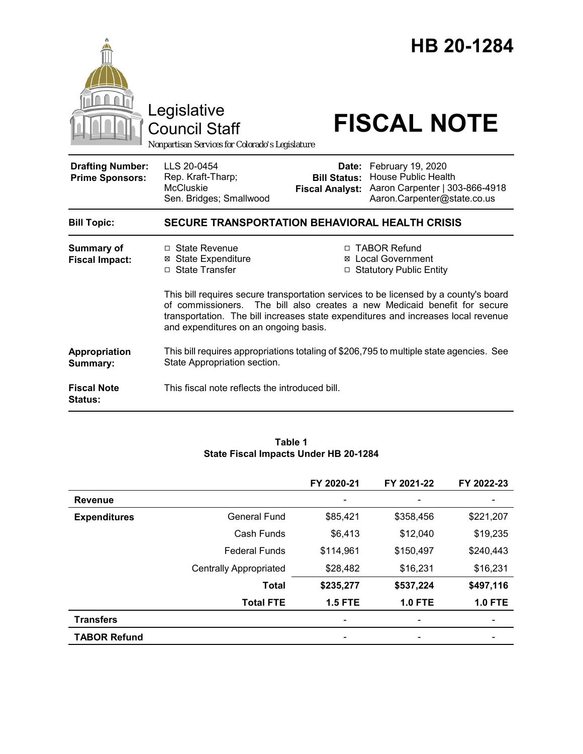|                                                   | Legislative<br><b>Council Staff</b><br>Nonpartisan Services for Colorado's Legislature                                  |                                                                                                                                                                                                                                                                                                                  | HB 20-1284<br><b>FISCAL NOTE</b>                                                                                 |  |  |
|---------------------------------------------------|-------------------------------------------------------------------------------------------------------------------------|------------------------------------------------------------------------------------------------------------------------------------------------------------------------------------------------------------------------------------------------------------------------------------------------------------------|------------------------------------------------------------------------------------------------------------------|--|--|
| <b>Drafting Number:</b><br><b>Prime Sponsors:</b> | LLS 20-0454<br>Rep. Kraft-Tharp;<br><b>McCluskie</b><br>Sen. Bridges; Smallwood                                         | Date:<br><b>Bill Status:</b><br><b>Fiscal Analyst:</b>                                                                                                                                                                                                                                                           | February 19, 2020<br><b>House Public Health</b><br>Aaron Carpenter   303-866-4918<br>Aaron.Carpenter@state.co.us |  |  |
| <b>Bill Topic:</b>                                | <b>SECURE TRANSPORTATION BEHAVIORAL HEALTH CRISIS</b>                                                                   |                                                                                                                                                                                                                                                                                                                  |                                                                                                                  |  |  |
| <b>Summary of</b><br><b>Fiscal Impact:</b>        | □ State Revenue<br><b>⊠ State Expenditure</b><br>□ State Transfer<br>of commissioners.                                  | □ TABOR Refund<br><b>⊠</b> Local Government<br>□ Statutory Public Entity<br>This bill requires secure transportation services to be licensed by a county's board<br>The bill also creates a new Medicaid benefit for secure<br>transportation. The bill increases state expenditures and increases local revenue |                                                                                                                  |  |  |
|                                                   | and expenditures on an ongoing basis.                                                                                   |                                                                                                                                                                                                                                                                                                                  |                                                                                                                  |  |  |
| Appropriation<br>Summary:                         | This bill requires appropriations totaling of \$206,795 to multiple state agencies. See<br>State Appropriation section. |                                                                                                                                                                                                                                                                                                                  |                                                                                                                  |  |  |
| <b>Fiscal Note</b><br><b>Status:</b>              | This fiscal note reflects the introduced bill.                                                                          |                                                                                                                                                                                                                                                                                                                  |                                                                                                                  |  |  |

## **Table 1 State Fiscal Impacts Under HB 20-1284**

|                     |                               | FY 2020-21                   | FY 2021-22     | FY 2022-23     |
|---------------------|-------------------------------|------------------------------|----------------|----------------|
| <b>Revenue</b>      |                               |                              |                |                |
| <b>Expenditures</b> | General Fund                  | \$85,421                     | \$358,456      | \$221,207      |
|                     | Cash Funds                    | \$6,413                      | \$12,040       | \$19,235       |
|                     | <b>Federal Funds</b>          | \$114,961                    | \$150,497      | \$240,443      |
|                     | <b>Centrally Appropriated</b> | \$28,482                     | \$16,231       | \$16,231       |
|                     | <b>Total</b>                  | \$235,277                    | \$537,224      | \$497,116      |
|                     | <b>Total FTE</b>              | <b>1.5 FTE</b>               | <b>1.0 FTE</b> | <b>1.0 FTE</b> |
| <b>Transfers</b>    |                               | $\qquad \qquad \blacksquare$ |                |                |
| <b>TABOR Refund</b> |                               | $\overline{\phantom{a}}$     |                | -              |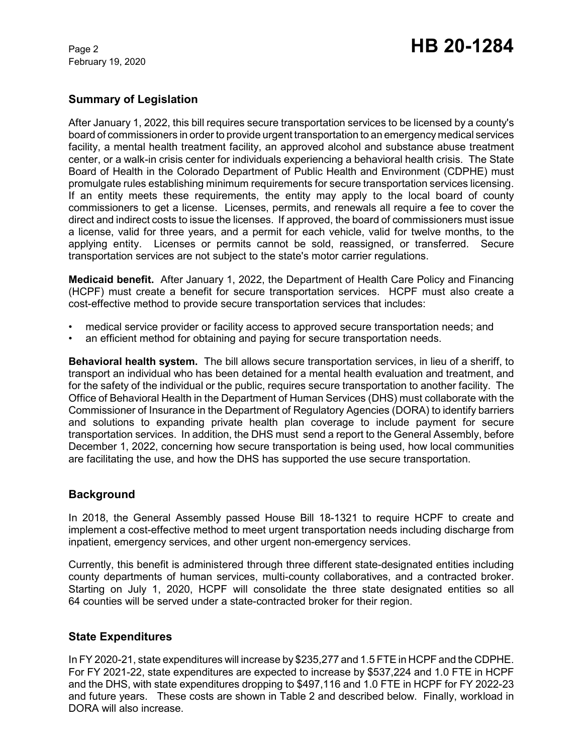February 19, 2020

# Page 2 **HB 20-1284**

## **Summary of Legislation**

After January 1, 2022, this bill requires secure transportation services to be licensed by a county's board of commissioners in order to provide urgent transportation to an emergency medical services facility, a mental health treatment facility, an approved alcohol and substance abuse treatment center, or a walk-in crisis center for individuals experiencing a behavioral health crisis. The State Board of Health in the Colorado Department of Public Health and Environment (CDPHE) must promulgate rules establishing minimum requirements for secure transportation services licensing. If an entity meets these requirements, the entity may apply to the local board of county commissioners to get a license. Licenses, permits, and renewals all require a fee to cover the direct and indirect costs to issue the licenses. If approved, the board of commissioners must issue a license, valid for three years, and a permit for each vehicle, valid for twelve months, to the applying entity. Licenses or permits cannot be sold, reassigned, or transferred. Secure transportation services are not subject to the state's motor carrier regulations.

**Medicaid benefit.** After January 1, 2022, the Department of Health Care Policy and Financing (HCPF) must create a benefit for secure transportation services. HCPF must also create a cost-effective method to provide secure transportation services that includes:

- medical service provider or facility access to approved secure transportation needs; and
- an efficient method for obtaining and paying for secure transportation needs.

**Behavioral health system.** The bill allows secure transportation services, in lieu of a sheriff, to transport an individual who has been detained for a mental health evaluation and treatment, and for the safety of the individual or the public, requires secure transportation to another facility. The Office of Behavioral Health in the Department of Human Services (DHS) must collaborate with the Commissioner of Insurance in the Department of Regulatory Agencies (DORA) to identify barriers and solutions to expanding private health plan coverage to include payment for secure transportation services. In addition, the DHS must send a report to the General Assembly, before December 1, 2022, concerning how secure transportation is being used, how local communities are facilitating the use, and how the DHS has supported the use secure transportation.

## **Background**

In 2018, the General Assembly passed House Bill 18-1321 to require HCPF to create and implement a cost-effective method to meet urgent transportation needs including discharge from inpatient, emergency services, and other urgent non-emergency services.

Currently, this benefit is administered through three different state-designated entities including county departments of human services, multi-county collaboratives, and a contracted broker. Starting on July 1, 2020, HCPF will consolidate the three state designated entities so all 64 counties will be served under a state-contracted broker for their region.

## **State Expenditures**

In FY 2020-21, state expenditures will increase by \$235,277 and 1.5 FTE in HCPF and the CDPHE. For FY 2021-22, state expenditures are expected to increase by \$537,224 and 1.0 FTE in HCPF and the DHS, with state expenditures dropping to \$497,116 and 1.0 FTE in HCPF for FY 2022-23 and future years. These costs are shown in Table 2 and described below. Finally, workload in DORA will also increase.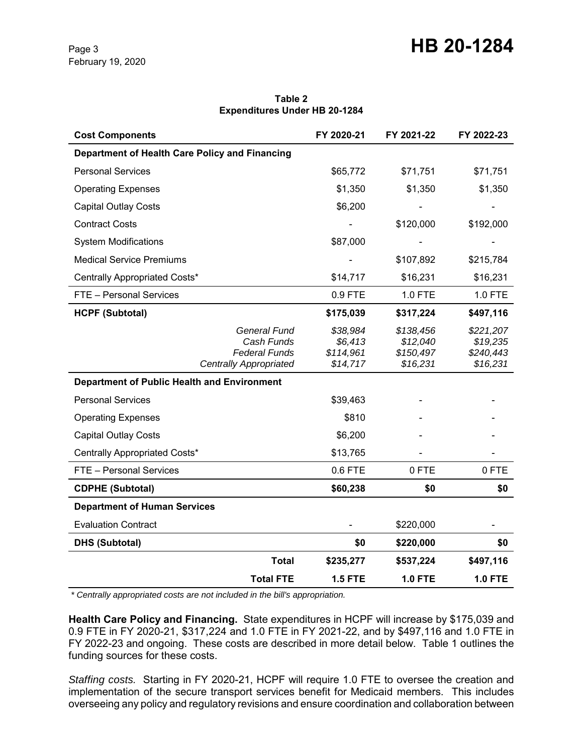| <b>Cost Components</b>                                                                     | FY 2020-21                                   | FY 2021-22                                     | FY 2022-23                                     |
|--------------------------------------------------------------------------------------------|----------------------------------------------|------------------------------------------------|------------------------------------------------|
| Department of Health Care Policy and Financing                                             |                                              |                                                |                                                |
| <b>Personal Services</b>                                                                   | \$65,772                                     | \$71,751                                       | \$71,751                                       |
| <b>Operating Expenses</b>                                                                  | \$1,350                                      | \$1,350                                        | \$1,350                                        |
| <b>Capital Outlay Costs</b>                                                                | \$6,200                                      |                                                |                                                |
| <b>Contract Costs</b>                                                                      |                                              | \$120,000                                      | \$192,000                                      |
| <b>System Modifications</b>                                                                | \$87,000                                     |                                                |                                                |
| <b>Medical Service Premiums</b>                                                            |                                              | \$107,892                                      | \$215,784                                      |
| Centrally Appropriated Costs*                                                              | \$14,717                                     | \$16,231                                       | \$16,231                                       |
| FTE - Personal Services                                                                    | 0.9 FTE                                      | 1.0 FTE                                        | 1.0 FTE                                        |
| <b>HCPF (Subtotal)</b>                                                                     | \$175,039                                    | \$317,224                                      | \$497,116                                      |
| <b>General Fund</b><br>Cash Funds<br><b>Federal Funds</b><br><b>Centrally Appropriated</b> | \$38,984<br>\$6,413<br>\$114,961<br>\$14,717 | \$138,456<br>\$12,040<br>\$150,497<br>\$16,231 | \$221,207<br>\$19,235<br>\$240,443<br>\$16,231 |
| <b>Department of Public Health and Environment</b>                                         |                                              |                                                |                                                |
| <b>Personal Services</b>                                                                   | \$39,463                                     |                                                |                                                |
| <b>Operating Expenses</b>                                                                  | \$810                                        |                                                |                                                |
| <b>Capital Outlay Costs</b>                                                                | \$6,200                                      |                                                |                                                |
| Centrally Appropriated Costs*                                                              | \$13,765                                     |                                                |                                                |
| FTE - Personal Services                                                                    | 0.6 FTE                                      | 0 FTE                                          | 0 FTE                                          |
| <b>CDPHE (Subtotal)</b>                                                                    | \$60,238                                     | \$0                                            | \$0                                            |
| <b>Department of Human Services</b>                                                        |                                              |                                                |                                                |
| <b>Evaluation Contract</b>                                                                 |                                              | \$220,000                                      |                                                |
| <b>DHS (Subtotal)</b>                                                                      | \$0                                          | \$220,000                                      | \$0                                            |
| <b>Total</b>                                                                               | \$235,277                                    | \$537,224                                      | \$497,116                                      |
| <b>Total FTE</b>                                                                           | <b>1.5 FTE</b>                               | <b>1.0 FTE</b>                                 | <b>1.0 FTE</b>                                 |

#### **Table 2 Expenditures Under HB 20-1284**

 *\* Centrally appropriated costs are not included in the bill's appropriation.*

**Health Care Policy and Financing.** State expenditures in HCPF will increase by \$175,039 and 0.9 FTE in FY 2020-21, \$317,224 and 1.0 FTE in FY 2021-22, and by \$497,116 and 1.0 FTE in FY 2022-23 and ongoing. These costs are described in more detail below. Table 1 outlines the funding sources for these costs.

*Staffing costs.* Starting in FY 2020-21, HCPF will require 1.0 FTE to oversee the creation and implementation of the secure transport services benefit for Medicaid members. This includes overseeing any policy and regulatory revisions and ensure coordination and collaboration between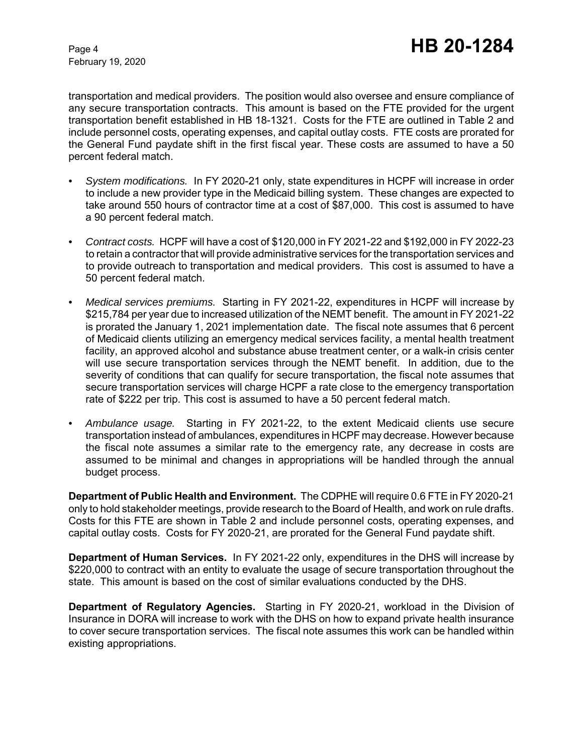February 19, 2020

transportation and medical providers. The position would also oversee and ensure compliance of any secure transportation contracts. This amount is based on the FTE provided for the urgent transportation benefit established in HB 18-1321. Costs for the FTE are outlined in Table 2 and include personnel costs, operating expenses, and capital outlay costs. FTE costs are prorated for the General Fund paydate shift in the first fiscal year. These costs are assumed to have a 50 percent federal match.

- *• System modifications.* In FY 2020-21 only, state expenditures in HCPF will increase in order to include a new provider type in the Medicaid billing system. These changes are expected to take around 550 hours of contractor time at a cost of \$87,000. This cost is assumed to have a 90 percent federal match.
- *• Contract costs.* HCPF will have a cost of \$120,000 in FY 2021-22 and \$192,000 in FY 2022-23 to retain a contractor that will provide administrative services for the transportation services and to provide outreach to transportation and medical providers. This cost is assumed to have a 50 percent federal match.
- *• Medical services premiums.* Starting in FY 2021-22, expenditures in HCPF will increase by \$215,784 per year due to increased utilization of the NEMT benefit. The amount in FY 2021-22 is prorated the January 1, 2021 implementation date. The fiscal note assumes that 6 percent of Medicaid clients utilizing an emergency medical services facility, a mental health treatment facility, an approved alcohol and substance abuse treatment center, or a walk-in crisis center will use secure transportation services through the NEMT benefit. In addition, due to the severity of conditions that can qualify for secure transportation, the fiscal note assumes that secure transportation services will charge HCPF a rate close to the emergency transportation rate of \$222 per trip. This cost is assumed to have a 50 percent federal match.
- *• Ambulance usage.* Starting in FY 2021-22, to the extent Medicaid clients use secure transportation instead of ambulances, expenditures in HCPF may decrease. However because the fiscal note assumes a similar rate to the emergency rate, any decrease in costs are assumed to be minimal and changes in appropriations will be handled through the annual budget process.

**Department of Public Health and Environment.** The CDPHE will require 0.6 FTE in FY 2020-21 only to hold stakeholder meetings, provide research to the Board of Health, and work on rule drafts. Costs for this FTE are shown in Table 2 and include personnel costs, operating expenses, and capital outlay costs. Costs for FY 2020-21, are prorated for the General Fund paydate shift.

**Department of Human Services.** In FY 2021-22 only, expenditures in the DHS will increase by \$220,000 to contract with an entity to evaluate the usage of secure transportation throughout the state. This amount is based on the cost of similar evaluations conducted by the DHS.

**Department of Regulatory Agencies.** Starting in FY 2020-21, workload in the Division of Insurance in DORA will increase to work with the DHS on how to expand private health insurance to cover secure transportation services. The fiscal note assumes this work can be handled within existing appropriations.